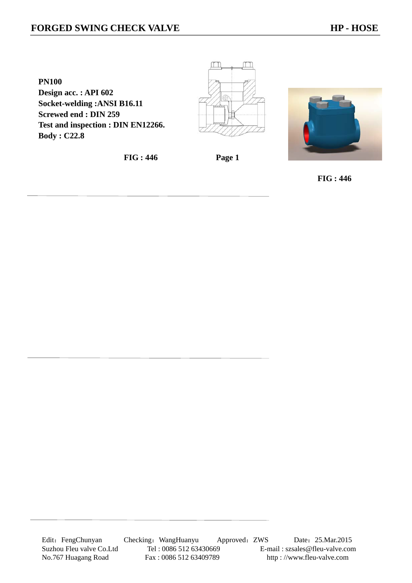**PN100 Design acc. : API 602 Socket-welding :ANSI B16.11 Screwed end : DIN 259 Test and inspection : DIN EN12266. Body : C22.8** 

**FIG : 446 Page 1** 

m

M



 **FIG : 446**

Edit: FengChunyan Checking: WangHuanyu Approved: ZWS Date: 25.Mar.2015 Suzhou Fleu valve Co.Ltd Tel : 0086 512 63430669 E-mail : szsales@fleu-valve.com No.767 Huagang Road Fax : 0086 512 63409789 http : //www.fleu-valve.com